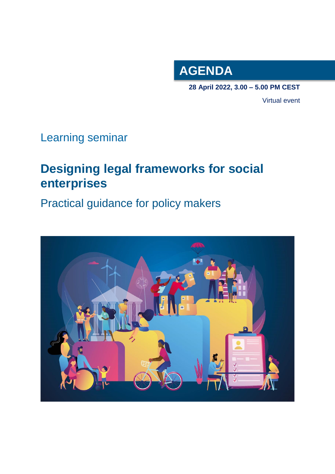

**28 April 2022, 3.00 – 5.00 PM CEST**

Virtual event

## Learning seminar

# **Designing legal frameworks for social enterprises**

Practical guidance for policy makers

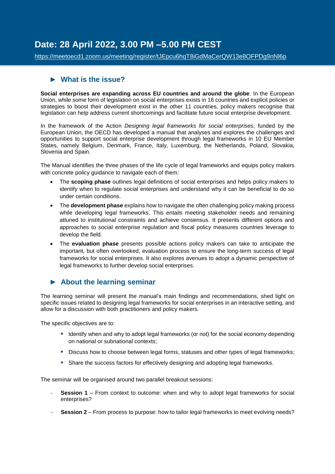## **Date: 28 April 2022, 3.00 PM –5.00 PM CEST**

<https://meetoecd1.zoom.us/meeting/register/tJEpcu6hqT8iGdMaCerQW13e8OFPDg9nNl6p>

### ► **What is the issue?**

**Social enterprises are expanding across EU countries and around the globe**. In the European Union, while some form of legislation on social enterprises exists in 16 countries and explicit policies or strategies to boost their development exist in the other 11 countries, policy makers recognise that legislation can help address current shortcomings and facilitate future social enterprise development.

In the framework of the Action *Designing legal frameworks for social enterprises*, funded by the European Union, the OECD has developed a manual that analyses and explores the challenges and opportunities to support social enterprise development through legal frameworks in 10 EU Member States, namely Belgium, Denmark, France, Italy, Luxemburg, the Netherlands, Poland, Slovakia, Slovenia and Spain.

The Manual identifies the three phases of the life cycle of legal frameworks and equips policy makers with concrete policy guidance to navigate each of them:

- The **scoping phase** outlines legal definitions of social enterprises and helps policy makers to identify when to regulate social enterprises and understand why it can be beneficial to do so under certain conditions.
- The **development phase** explains how to navigate the often challenging policy making process while developing legal frameworks. This entails meeting stakeholder needs and remaining attuned to institutional constraints and achieve consensus. It presents different options and approaches to social enterprise regulation and fiscal policy measures countries leverage to develop the field.
- The **evaluation phase** presents possible actions policy makers can take to anticipate the important, but often overlooked, evaluation process to ensure the long-term success of legal frameworks for social enterprises. It also explores avenues to adopt a dynamic perspective of legal frameworks to further develop social enterprises.

### ► **About the learning seminar**

The learning seminar will present the manual's main findings and recommendations, shed light on specific issues related to designing legal frameworks for social enterprises in an interactive setting, and allow for a discussion with both practitioners and policy makers.

The specific objectives are to:

- Identify when and why to adopt legal frameworks (or not) for the social economy depending on national or subnational contexts;
- Discuss how to choose between legal forms, statuses and other types of legal frameworks;
- **Share the success factors for effectively designing and adopting legal frameworks.**

The seminar will be organised around two parallel breakout sessions:

- **Session 1** From context to outcome: when and why to adopt legal frameworks for social enterprises?
- **Session 2** From process to purpose: how to tailor legal frameworks to meet evolving needs?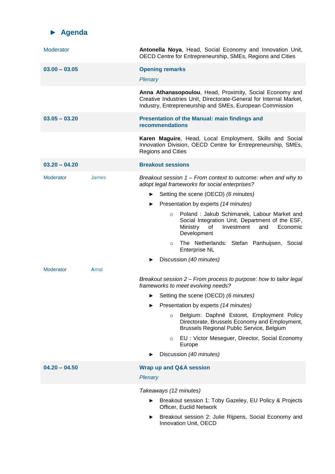

| Moderator        |       | Antonella Noya, Head, Social Economy and Innovation Unit,<br>OECD Centre for Entrepreneurship, SMEs, Regions and Cities                                                                    |
|------------------|-------|--------------------------------------------------------------------------------------------------------------------------------------------------------------------------------------------|
| $03.00 - 03.05$  |       | <b>Opening remarks</b><br>Plenary                                                                                                                                                          |
|                  |       | Anna Athanasopoulou, Head, Proximity, Social Economy and<br>Creative Industries Unit, Directorate-General for Internal Market,<br>Industry, Entrepreneurship and SMEs, European Commission |
| $03.05 - 03.20$  |       | <b>Presentation of the Manual: main findings and</b><br>recommendations                                                                                                                    |
|                  |       | Karen Maguire, Head, Local Employment, Skills and Social<br>Innovation Division, OECD Centre for Entrepreneurship, SMEs,<br><b>Regions and Cities</b>                                      |
| $03.20 - 04.20$  |       | <b>Breakout sessions</b>                                                                                                                                                                   |
| <b>Moderator</b> | James | Breakout session 1 – From context to outcome: when and why to<br>adopt legal frameworks for social enterprises?                                                                            |
|                  |       | Setting the scene (OECD) (6 minutes)                                                                                                                                                       |
|                  |       | Presentation by experts (14 minutes)<br>▶                                                                                                                                                  |
|                  |       | Poland: Jakub Schimanek, Labour Market and<br>$\circ$<br>Social Integration Unit, Department of the ESF,<br>Ministry<br>Investment<br>and<br>Economic<br>0f<br>Development                 |
|                  |       | The Netherlands: Stefan Panhuijsen, Social<br>$\circ$<br><b>Enterprise NL</b>                                                                                                              |
|                  |       | Discussion (40 minutes)                                                                                                                                                                    |
| <b>Moderator</b> | Amal  |                                                                                                                                                                                            |
|                  |       | Breakout session 2 – From process to purpose: how to tailor legal<br>frameworks to meet evolving needs?                                                                                    |
|                  |       | Setting the scene (OECD) (6 minutes)<br>▶                                                                                                                                                  |
|                  |       | Presentation by experts (14 minutes)                                                                                                                                                       |
|                  |       | Belgium: Daphné Estoret, Employment Policy<br>$\circ$<br>Directorate, Brussels Economy and Employment,<br>Brussels Regional Public Service, Belgium                                        |
|                  |       | EU: Victor Meseguer, Director, Social Economy<br>$\circ$<br>Europe                                                                                                                         |
|                  |       | Discussion (40 minutes)                                                                                                                                                                    |
| $04.20 - 04.50$  |       | <b>Wrap up and Q&amp;A session</b><br><b>Plenary</b>                                                                                                                                       |
|                  |       | Takeaways (12 minutes)                                                                                                                                                                     |
|                  |       | Breakout session 1: Toby Gazeley, EU Policy & Projects<br>Officer, Euclid Network                                                                                                          |
|                  |       | Breakout session 2: Julie Rijpens, Social Economy and<br>Innovation Unit, OECD                                                                                                             |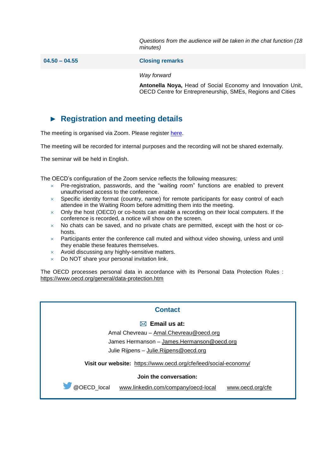*Questions from the audience will be taken in the chat function (18 minutes)*

**04.50 – 04.55 Closing remarks**

*Way forward*

**Antonella Noya,** Head of Social Economy and Innovation Unit, OECD Centre for Entrepreneurship, SMEs, Regions and Cities

## ► **Registration and meeting details**

The meeting is organised via Zoom. Please register [here.](https://meetoecd1.zoom.us/meeting/register/tJEpcu6hqT8iGdMaCerQW13e8OFPDg9nNl6p)

The meeting will be recorded for internal purposes and the recording will not be shared externally.

The seminar will be held in English.

The OECD's configuration of the Zoom service reflects the following measures:

- $\times$  Pre-registration, passwords, and the "waiting room" functions are enabled to prevent unauthorised access to the conference.
- $\times$  Specific identity format (country, name) for remote participants for easy control of each attendee in the Waiting Room before admitting them into the meeting.
- $\times$  Only the host (OECD) or co-hosts can enable a recording on their local computers. If the conference is recorded, a notice will show on the screen.
- $\times$  No chats can be saved, and no private chats are permitted, except with the host or cohosts.
- $\times$  Participants enter the conference call muted and without video showing, unless and until they enable these features themselves.
- $\times$  Avoid discussing any highly-sensitive matters.
- $\times$  Do NOT share your personal invitation link.

The OECD processes personal data in accordance with its Personal Data Protection Rules : <https://www.oecd.org/general/data-protection.htm>

#### **Contact**

#### **Email us at:**

Amal Chevreau – [Amal.Chevreau@oecd.org](mailto:Amal.Chevreau@oecd.org)

James Hermanson - [James.Hermanson@oecd.org](mailto:James.Hermanson@oecd.org)

Julie Rijpens – [Julie.Rijpens@oecd.org](mailto:Julie.Rijpens@oecd.org)

**Visit our website:** [https://www.oecd.org/cfe/leed/social-economy/](http://www.oecd.org/leed-forum/)

#### **Join the conversation:**

@OECD\_local [www.linkedin.com/company/oecd-local](http://www.linkedin.com/company/oecd-local) [www.oecd.org/cfe](http://www.oecd.org/cfe)